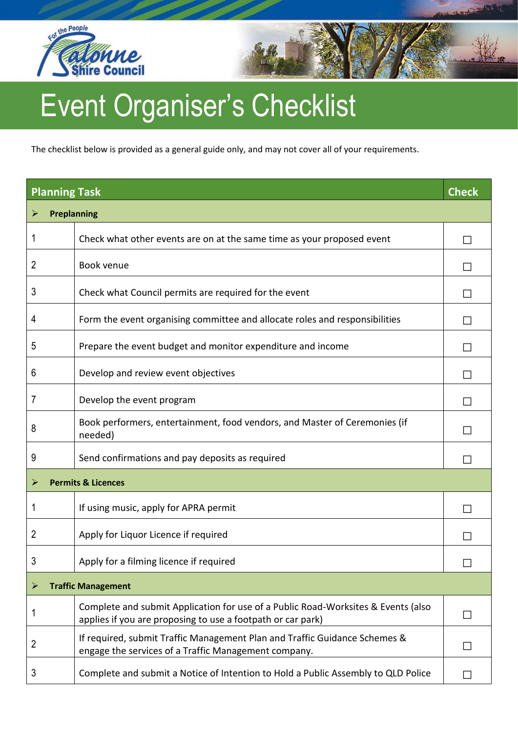



The checklist below is provided as a general guide only, and may not cover all of your requirements.

| <b>Planning Task</b> |                                                                                                                                                  | <b>Check</b> |  |
|----------------------|--------------------------------------------------------------------------------------------------------------------------------------------------|--------------|--|
| <b>Preplanning</b>   |                                                                                                                                                  |              |  |
| 1                    | Check what other events are on at the same time as your proposed event                                                                           |              |  |
| 2                    | Book venue                                                                                                                                       |              |  |
| 3                    | Check what Council permits are required for the event                                                                                            |              |  |
| 4                    | Form the event organising committee and allocate roles and responsibilities                                                                      |              |  |
| 5                    | Prepare the event budget and monitor expenditure and income                                                                                      |              |  |
| 6                    | Develop and review event objectives                                                                                                              |              |  |
| 7                    | Develop the event program                                                                                                                        |              |  |
| 8                    | Book performers, entertainment, food vendors, and Master of Ceremonies (if<br>needed)                                                            |              |  |
| 9                    | Send confirmations and pay deposits as required                                                                                                  |              |  |
| ⋗                    | <b>Permits &amp; Licences</b>                                                                                                                    |              |  |
| 1                    | If using music, apply for APRA permit                                                                                                            |              |  |
| 2                    | Apply for Liquor Licence if required                                                                                                             |              |  |
| 3                    | Apply for a filming licence if required                                                                                                          |              |  |
|                      | <b>Traffic Management</b>                                                                                                                        |              |  |
| 1                    | Complete and submit Application for use of a Public Road-Worksites & Events (also<br>applies if you are proposing to use a footpath or car park) |              |  |
| 2                    | If required, submit Traffic Management Plan and Traffic Guidance Schemes &<br>engage the services of a Traffic Management company.               |              |  |
| 3                    | Complete and submit a Notice of Intention to Hold a Public Assembly to QLD Police                                                                |              |  |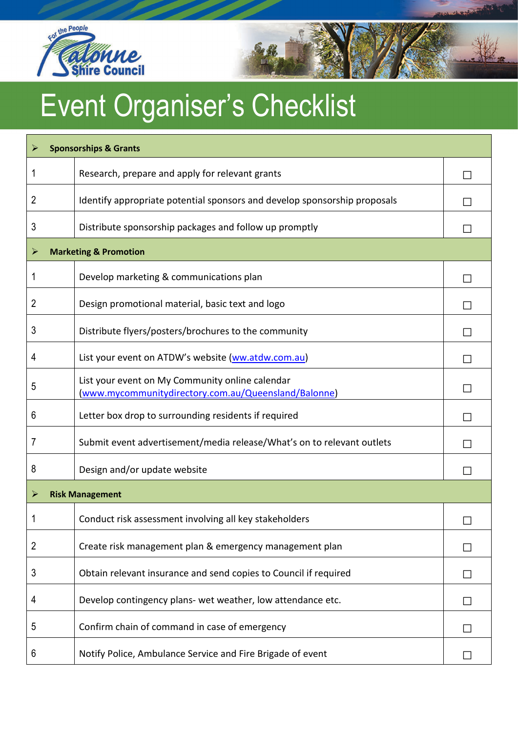



| ➤ | <b>Sponsorships &amp; Grants</b>                                                                        |  |
|---|---------------------------------------------------------------------------------------------------------|--|
| 1 | Research, prepare and apply for relevant grants                                                         |  |
| 2 | Identify appropriate potential sponsors and develop sponsorship proposals                               |  |
| 3 | Distribute sponsorship packages and follow up promptly                                                  |  |
| ➤ | <b>Marketing &amp; Promotion</b>                                                                        |  |
| 1 | Develop marketing & communications plan                                                                 |  |
| 2 | Design promotional material, basic text and logo                                                        |  |
| 3 | Distribute flyers/posters/brochures to the community                                                    |  |
| 4 | List your event on ATDW's website (ww.atdw.com.au)                                                      |  |
| 5 | List your event on My Community online calendar<br>(www.mycommunitydirectory.com.au/Queensland/Balonne) |  |
| 6 | Letter box drop to surrounding residents if required                                                    |  |
| 7 | Submit event advertisement/media release/What's on to relevant outlets                                  |  |
| 8 | Design and/or update website                                                                            |  |
| ➤ | <b>Risk Management</b>                                                                                  |  |
|   | Conduct risk assessment involving all key stakeholders                                                  |  |
| 2 | Create risk management plan & emergency management plan                                                 |  |
| 3 | Obtain relevant insurance and send copies to Council if required                                        |  |
| 4 | Develop contingency plans- wet weather, low attendance etc.                                             |  |
| 5 | Confirm chain of command in case of emergency                                                           |  |
| 6 | Notify Police, Ambulance Service and Fire Brigade of event                                              |  |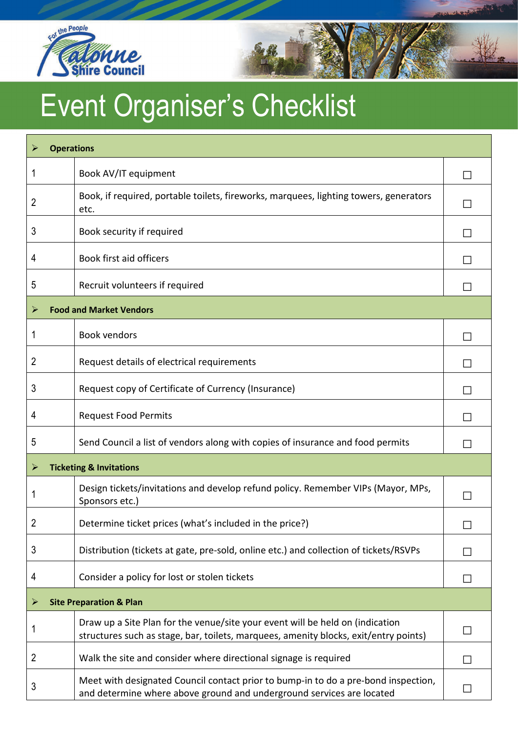



| <b>Operations</b><br>$\blacktriangleright$ |                                                                                                                                                                       |        |
|--------------------------------------------|-----------------------------------------------------------------------------------------------------------------------------------------------------------------------|--------|
|                                            | Book AV/IT equipment                                                                                                                                                  |        |
| 2                                          | Book, if required, portable toilets, fireworks, marquees, lighting towers, generators<br>etc.                                                                         |        |
| 3                                          | Book security if required                                                                                                                                             |        |
| 4                                          | Book first aid officers                                                                                                                                               |        |
| 5                                          | Recruit volunteers if required                                                                                                                                        |        |
| <b>Food and Market Vendors</b>             |                                                                                                                                                                       |        |
| 1                                          | <b>Book vendors</b>                                                                                                                                                   |        |
| 2                                          | Request details of electrical requirements                                                                                                                            |        |
| 3                                          | Request copy of Certificate of Currency (Insurance)                                                                                                                   |        |
| 4                                          | <b>Request Food Permits</b>                                                                                                                                           |        |
| 5                                          | Send Council a list of vendors along with copies of insurance and food permits                                                                                        |        |
| ⋗                                          | <b>Ticketing &amp; Invitations</b>                                                                                                                                    |        |
|                                            | Design tickets/invitations and develop refund policy. Remember VIPs (Mayor, MPs,<br>Sponsors etc.)                                                                    |        |
| 2                                          | Determine ticket prices (what's included in the price?)                                                                                                               | $\Box$ |
| 3                                          | Distribution (tickets at gate, pre-sold, online etc.) and collection of tickets/RSVPs                                                                                 |        |
| 4                                          | Consider a policy for lost or stolen tickets                                                                                                                          |        |
| <b>Site Preparation &amp; Plan</b><br>⋗    |                                                                                                                                                                       |        |
| 1                                          | Draw up a Site Plan for the venue/site your event will be held on (indication<br>structures such as stage, bar, toilets, marquees, amenity blocks, exit/entry points) |        |
| 2                                          | Walk the site and consider where directional signage is required                                                                                                      |        |
| 3                                          | Meet with designated Council contact prior to bump-in to do a pre-bond inspection,<br>and determine where above ground and underground services are located           |        |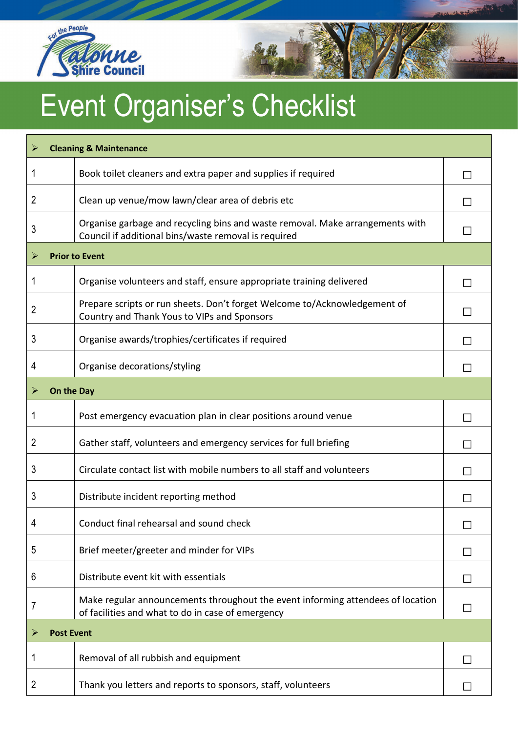



| ➤                      |            | <b>Cleaning &amp; Maintenance</b>                                                                                                     |              |  |
|------------------------|------------|---------------------------------------------------------------------------------------------------------------------------------------|--------------|--|
| 1                      |            | Book toilet cleaners and extra paper and supplies if required                                                                         |              |  |
| 2                      |            | Clean up venue/mow lawn/clear area of debris etc                                                                                      | L            |  |
| 3                      |            | Organise garbage and recycling bins and waste removal. Make arrangements with<br>Council if additional bins/waste removal is required |              |  |
| $\blacktriangleright$  |            | <b>Prior to Event</b>                                                                                                                 |              |  |
| 1                      |            | Organise volunteers and staff, ensure appropriate training delivered                                                                  | $\mathsf{L}$ |  |
| 2                      |            | Prepare scripts or run sheets. Don't forget Welcome to/Acknowledgement of<br>Country and Thank Yous to VIPs and Sponsors              |              |  |
| 3                      |            | Organise awards/trophies/certificates if required                                                                                     |              |  |
| 4                      |            | Organise decorations/styling                                                                                                          | L            |  |
| $\blacktriangleright$  | On the Day |                                                                                                                                       |              |  |
| 1                      |            | Post emergency evacuation plan in clear positions around venue                                                                        |              |  |
| 2                      |            | Gather staff, volunteers and emergency services for full briefing                                                                     |              |  |
| 3                      |            | Circulate contact list with mobile numbers to all staff and volunteers                                                                |              |  |
| 3                      |            | Distribute incident reporting method                                                                                                  | $\mathsf{L}$ |  |
| 4                      |            | Conduct final rehearsal and sound check                                                                                               | $\Box$       |  |
| 5                      |            | Brief meeter/greeter and minder for VIPs                                                                                              |              |  |
| 6                      |            | Distribute event kit with essentials                                                                                                  |              |  |
| 7                      |            | Make regular announcements throughout the event informing attendees of location<br>of facilities and what to do in case of emergency  |              |  |
| <b>Post Event</b><br>➤ |            |                                                                                                                                       |              |  |
| 1                      |            | Removal of all rubbish and equipment                                                                                                  |              |  |
| 2                      |            | Thank you letters and reports to sponsors, staff, volunteers                                                                          |              |  |